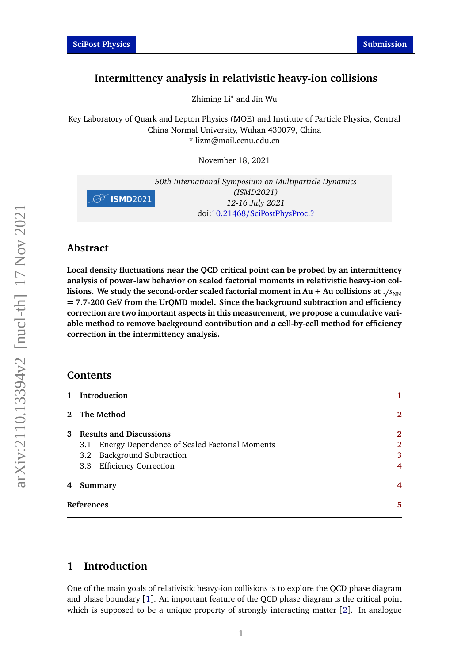# **Intermittency analysis in relativistic heavy-ion collisions**

Zhiming Li*?* and Jin Wu

Key Laboratory of Quark and Lepton Physics (MOE) and Institute of Particle Physics, Central China Normal University, Wuhan 430079, China \* lizm@mail.ccnu.edu.cn

November 18, 2021



### **Abstract**

**Local density fluctuations near the QCD critical point can be probed by an intermittency analysis of power-law behavior on scaled factorial moments in relativistic heavy-ion collisions.** We study the second-order scaled factorial moment in Au + Au collisions at  $\sqrt{s_{NN}}$ **= 7.7-200 GeV from the UrQMD model. Since the background subtraction and efficiency correction are two important aspects in this measurement, we propose a cumulative variable method to remove background contribution and a cell-by-cell method for efficiency correction in the intermittency analysis.**

### **Contents**

|                   | 1 Introduction                                       |                |
|-------------------|------------------------------------------------------|----------------|
|                   | 2 The Method                                         | 2              |
| $\mathbf{3}$      | <b>Results and Discussions</b>                       | 2              |
|                   | Energy Dependence of Scaled Factorial Moments<br>3.1 | $\overline{2}$ |
|                   | 3.2 Background Subtraction                           | 3              |
|                   | 3.3 Efficiency Correction                            | 4              |
| 4                 | Summary                                              | 4              |
| <b>References</b> |                                                      | 5              |

## <span id="page-0-0"></span>**1 Introduction**

One of the main goals of relativistic heavy-ion collisions is to explore the QCD phase diagram and phase boundary [[1](#page-4-0)]. An important feature of the QCD phase diagram is the critical point which is supposed to be a unique property of strongly interacting matter [[2](#page-4-1)]. In analogue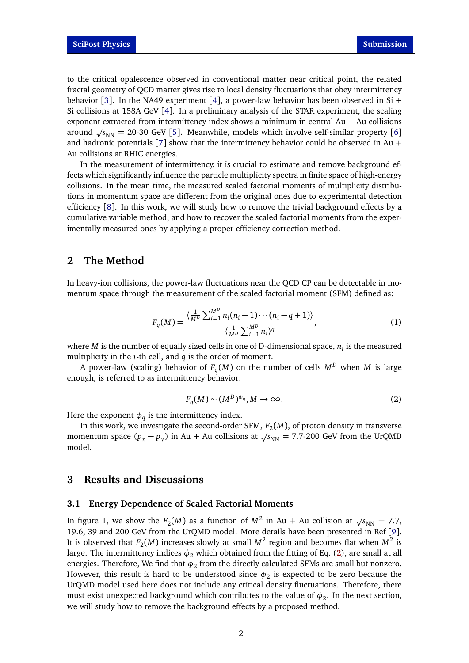to the critical opalescence observed in conventional matter near critical point, the related fractal geometry of QCD matter gives rise to local density fluctuations that obey intermittency behavior [[3](#page-4-2)]. In the NA[4](#page-4-3)9 experiment [4], a power-law behavior has been observed in Si + Si collisions at 158A GeV [[4](#page-4-3)]. In a preliminary analysis of the STAR experiment, the scaling exponent extracted from intermittency index shows a minimum in central  $Au + Au$  collisions around  $\sqrt{s_{NN}}$  = 20-30 GeV [[5](#page-4-4)]. Meanwhile, models which involve self-similar property [[6](#page-4-5)] and hadronic potentials  $[7]$  $[7]$  $[7]$  show that the intermittency behavior could be observed in Au + Au collisions at RHIC energies.

In the measurement of intermittency, it is crucial to estimate and remove background effects which significantly influence the particle multiplicity spectra in finite space of high-energy collisions. In the mean time, the measured scaled factorial moments of multiplicity distributions in momentum space are different from the original ones due to experimental detection efficiency [[8](#page-4-7)]. In this work, we will study how to remove the trivial background effects by a cumulative variable method, and how to recover the scaled factorial moments from the experimentally measured ones by applying a proper efficiency correction method.

### <span id="page-1-0"></span>**2 The Method**

In heavy-ion collisions, the power-law fluctuations near the QCD CP can be detectable in momentum space through the measurement of the scaled factorial moment (SFM) defined as:

$$
F_q(M) = \frac{\left\langle \frac{1}{M^D} \sum_{i=1}^{M^D} n_i (n_i - 1) \cdots (n_i - q + 1) \right\rangle}{\left\langle \frac{1}{M^D} \sum_{i=1}^{M^D} n_i \right\rangle^q},\tag{1}
$$

where  $M$  is the number of equally sized cells in one of D-dimensional space,  $n_i$  is the measured multiplicity in the *i*-th cell, and *q* is the order of moment.

<span id="page-1-3"></span>A power-law (scaling) behavior of  $F_q(M)$  on the number of cells  $M^D$  when  $M$  is large enough, is referred to as intermittency behavior:

$$
F_q(M) \sim (M^D)^{\phi_q}, M \to \infty.
$$
 (2)

Here the exponent  $\phi_q$  is the intermittency index.

In this work, we investigate the second-order SFM,  $F_2(M)$ , of proton density in transverse m this work, we investigate the second-order *SFM*,  $P_2(M)$ , or proton density in transverse<br>momentum space  $(p_x - p_y)$  in Au + Au collisions at  $\sqrt{s_{NN}} = 7.7$ -200 GeV from the UrQMD model.

### <span id="page-1-1"></span>**3 Results and Discussions**

#### <span id="page-1-2"></span>**3.1 Energy Dependence of Scaled Factorial Moments**

In figure 1, we show the  $F_2(M)$  as a function of  $M^2$  in Au + Au collision at  $\sqrt{s_\mathrm{NN}} = 7.7,$ 19.6, 39 and 200 GeV from the UrQMD model. More details have been presented in Ref [[9](#page-4-8)]. It is observed that  $F_2(M)$  increases slowly at small  $M^2$  region and becomes flat when  $M^2$  is large. The intermittency indices  $\phi_2$  which obtained from the fitting of Eq. [\(2\)](#page-1-3), are small at all energies. Therefore, We find that  $\phi_2$  from the directly calculated SFMs are small but nonzero. However, this result is hard to be understood since  $\phi_2$  is expected to be zero because the UrQMD model used here does not include any critical density fluctuations. Therefore, there must exist unexpected background which contributes to the value of  $\phi_2.$  In the next section, we will study how to remove the background effects by a proposed method.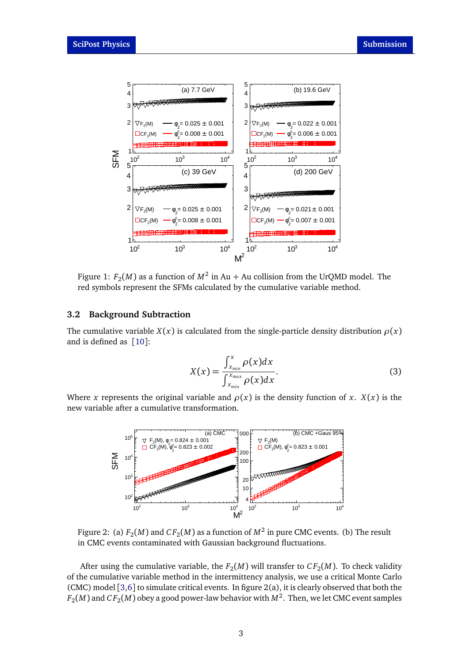

Figure 1:  $F_2(M)$  as a function of  $M^2$  in Au + Au collision from the UrQMD model. The red symbols represent the SFMs calculated by the cumulative variable method.

### <span id="page-2-0"></span>**3.2 Background Subtraction**

The cumulative variable *X*(*x*) is calculated from the single-particle density distribution  $\rho(x)$ and is defined as  $[10]$  $[10]$  $[10]$ :

$$
X(x) = \frac{\int_{x_{min}}^{x} \rho(x) dx}{\int_{x_{min}}^{x_{max}} \rho(x) dx}.
$$
 (3)

Where *x* represents the original variable and  $\rho(x)$  is the density function of *x*. *X*(*x*) is the new variable after a cumulative transformation.



Figure 2: (a)  $F_2(M)$  and  $CF_2(M)$  as a function of  $M^2$  in pure CMC events. (b) The result in CMC events contaminated with Gaussian background fluctuations.

After using the cumulative variable, the  $F_2(M)$  will transfer to  $CF_2(M)$ . To check validity of the cumulative variable method in the intermittency analysis, we use a critical Monte Carlo (CMC) model [[3,](#page-4-2)[6](#page-4-5)] to simulate critical events. In figure 2(a), it is clearly observed that both the  $F_2(M)$  and  $CF_2(M)$  obey a good power-law behavior with  $M^2$ . Then, we let CMC event samples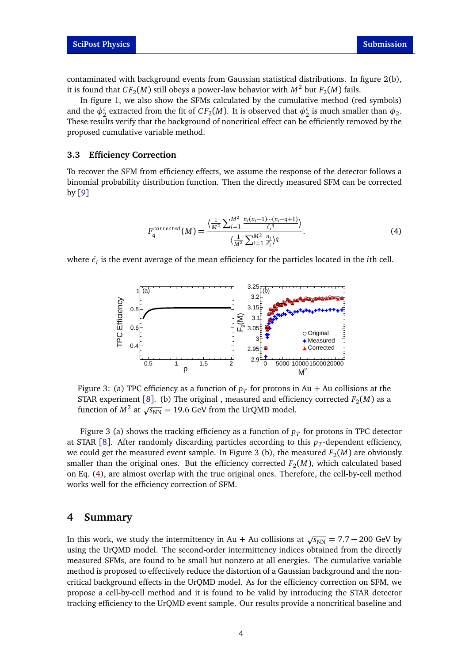contaminated with background events from Gaussian statistical distributions. In figure 2(b), it is found that  $CF_2(M)$  still obeys a power-law behavior with  $M^2$  but  $F_2(M)$  fails.

In figure 1, we also show the SFMs calculated by the cumulative method (red symbols) and the  $\phi_2^c$  extracted from the fit of  $CF_2(M)$ . It is observed that  $\phi_2^c$  is much smaller than  $\phi_2$ . These results verify that the background of noncritical effect can be efficiently removed by the proposed cumulative variable method.

#### <span id="page-3-0"></span>**3.3 Efficiency Correction**

To recover the SFM from efficiency effects, we assume the response of the detector follows a binomial probability distribution function. Then the directly measured SFM can be corrected by [[9](#page-4-8)]

<span id="page-3-2"></span>
$$
F_q^{corrected}(M) = \frac{\langle \frac{1}{M^2} \sum_{i=1}^{M^2} \frac{n_i(n_i-1)\cdots(n_i-q+1)}{\tilde{\epsilon}_i^q} \rangle}{\langle \frac{1}{M^2} \sum_{i=1}^{M^2} \frac{n_i}{\tilde{\epsilon}_i} \rangle^q}.
$$
(4)

where  $\bar{\epsilon}_i$  is the event average of the mean efficiency for the particles located in the *i*th cell.



Figure 3: (a) TPC efficiency as a function of  $p_{T}$  for protons in Au + Au collisions at the STAR experiment [[8](#page-4-7)]. (b) The original , measured and efficiency corrected  $F_2(M)$  as a s IAR experiment [6]. (b) The original, ineasured and efficient function of  $M^2$  at  $\sqrt{s_{NN}}$  = 19.6 GeV from the UrQMD model.

Figure 3 (a) shows the tracking efficiency as a function of  $p_{T}$  for protons in TPC detector at STAR [[8](#page-4-7)]. After randomly discarding particles according to this  $p_T$ -dependent efficiency, we could get the measured event sample. In Figure 3 (b), the measured  $F_2(M)$  are obviously smaller than the original ones. But the efficiency corrected  $F_2(M)$ , which calculated based on Eq. [\(4\)](#page-3-2), are almost overlap with the true original ones. Therefore, the cell-by-cell method works well for the efficiency correction of SFM.

#### <span id="page-3-1"></span>**4 Summary**

In this work, we study the intermittency in Au + Au collisions at  $\sqrt{s_{NN}} = 7.7 - 200$  GeV by using the UrQMD model. The second-order intermittency indices obtained from the directly measured SFMs, are found to be small but nonzero at all energies. The cumulative variable method is proposed to effectively reduce the distortion of a Gaussian background and the noncritical background effects in the UrQMD model. As for the efficiency correction on SFM, we propose a cell-by-cell method and it is found to be valid by introducing the STAR detector tracking efficiency to the UrQMD event sample. Our results provide a noncritical baseline and